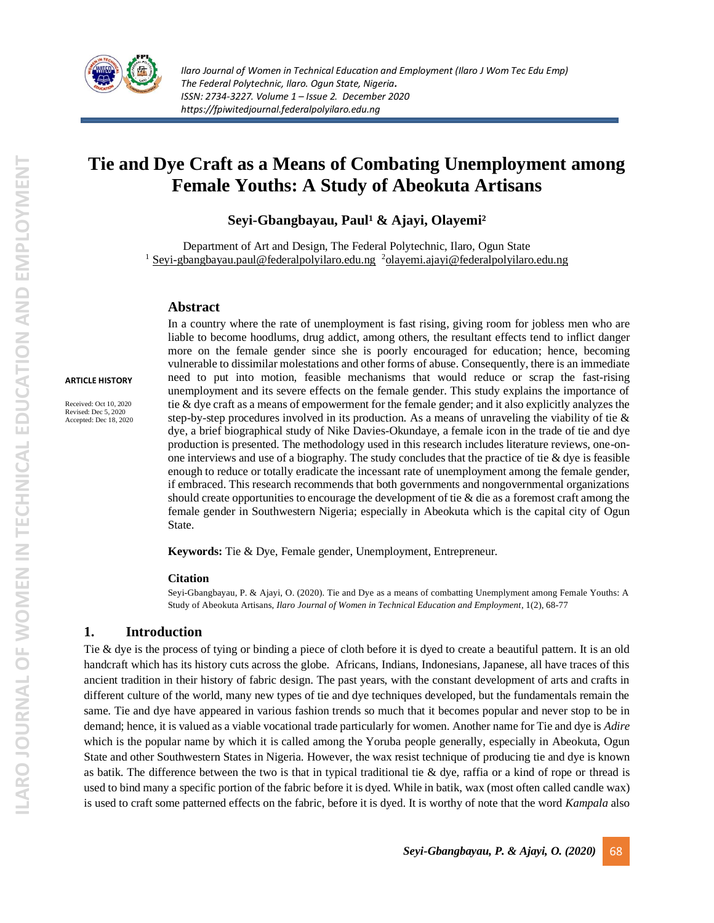

# **Tie and Dye Craft as a Means of Combating Unemployment among Female Youths: A Study of Abeokuta Artisans**

## **Seyi-Gbangbayau, Paul¹ & Ajayi, Olayemi²**

Department of Art and Design, The Federal Polytechnic, Ilaro, Ogun State  $1$  [Seyi-gbangbayau.paul@federalpolyilaro.edu.ng](mailto:Seyi-gbangbayau.paul@federalpolyilaro.edu.ng)  $2$ [olayemi.ajayi@federalpolyilaro.edu.ng](mailto:olayemi.ajayi@federalpolyilaro.edu.ng)

### **Abstract**

#### **ARTICLE HISTORY**

Received: Oct 10, 2020 Revised: Dec 5, 2020 Accepted: Dec 18, 2020 In a country where the rate of unemployment is fast rising, giving room for jobless men who are liable to become hoodlums, drug addict, among others, the resultant effects tend to inflict danger more on the female gender since she is poorly encouraged for education; hence, becoming vulnerable to dissimilar molestations and other forms of abuse. Consequently, there is an immediate need to put into motion, feasible mechanisms that would reduce or scrap the fast-rising unemployment and its severe effects on the female gender. This study explains the importance of tie & dye craft as a means of empowerment for the female gender; and it also explicitly analyzes the step-by-step procedures involved in its production. As a means of unraveling the viability of tie  $\&$ dye, a brief biographical study of Nike Davies-Okundaye, a female icon in the trade of tie and dye production is presented. The methodology used in this research includes literature reviews, one-onone interviews and use of a biography. The study concludes that the practice of tie  $\&$  dye is feasible enough to reduce or totally eradicate the incessant rate of unemployment among the female gender, if embraced. This research recommends that both governments and nongovernmental organizations should create opportunities to encourage the development of tie & die as a foremost craft among the female gender in Southwestern Nigeria; especially in Abeokuta which is the capital city of Ogun State.

**Keywords:** Tie & Dye, Female gender, Unemployment, Entrepreneur.

#### **Citation**

Seyi-Gbangbayau, P. & Ajayi, O. (2020). Tie and Dye as a means of combatting Unemplyment among Female Youths: A Study of Abeokuta Artisans, *Ilaro Journal of Women in Technical Education and Employment*, 1(2), 68-77

### **1. Introduction**

Tie & dye is the process of tying or binding a piece of cloth before it is dyed to create a beautiful pattern. It is an old handcraft which has its history cuts across the globe. Africans, Indians, Indonesians, Japanese, all have traces of this ancient tradition in their history of fabric design. The past years, with the constant development of arts and crafts in different culture of the world, many new types of tie and dye techniques developed, but the fundamentals remain the same. Tie and dye have appeared in various fashion trends so much that it becomes popular and never stop to be in demand; hence, it is valued as a viable vocational trade particularly for women. Another name for Tie and dye is *Adire* which is the popular name by which it is called among the Yoruba people generally, especially in Abeokuta, Ogun State and other Southwestern States in Nigeria. However, the wax resist technique of producing tie and dye is known as batik. The difference between the two is that in typical traditional tie  $\&$  dye, raffia or a kind of rope or thread is used to bind many a specific portion of the fabric before it is dyed. While in batik, wax (most often called candle wax) is used to craft some patterned effects on the fabric, before it is dyed. It is worthy of note that the word *Kampala* also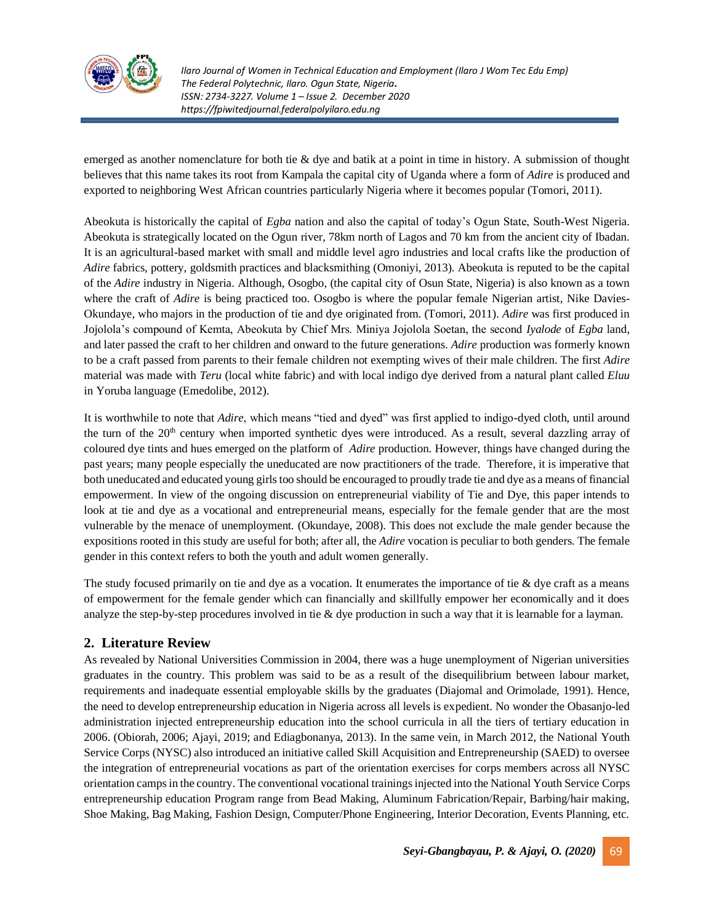

emerged as another nomenclature for both tie & dye and batik at a point in time in history. A submission of thought believes that this name takes its root from Kampala the capital city of Uganda where a form of *Adire* is produced and exported to neighboring West African countries particularly Nigeria where it becomes popular (Tomori, 2011).

Abeokuta is historically the capital of *Egba* nation and also the capital of today's Ogun State, South-West Nigeria. Abeokuta is strategically located on the Ogun river, 78km north of Lagos and 70 km from the ancient city of Ibadan. It is an agricultural-based market with small and middle level agro industries and local crafts like the production of *Adire* fabrics, pottery, goldsmith practices and blacksmithing (Omoniyi, 2013). Abeokuta is reputed to be the capital of the *Adire* industry in Nigeria. Although, Osogbo, (the capital city of Osun State, Nigeria) is also known as a town where the craft of *Adire* is being practiced too. Osogbo is where the popular female Nigerian artist, Nike Davies-Okundaye, who majors in the production of tie and dye originated from. (Tomori, 2011). *Adire* was first produced in Jojolola's compound of Kemta, Abeokuta by Chief Mrs. Miniya Jojolola Soetan, the second *Iyalode* of *Egba* land, and later passed the craft to her children and onward to the future generations. *Adire* production was formerly known to be a craft passed from parents to their female children not exempting wives of their male children. The first *Adire* material was made with *Teru* (local white fabric) and with local indigo dye derived from a natural plant called *Eluu* in Yoruba language (Emedolibe, 2012).

It is worthwhile to note that *Adire*, which means "tied and dyed" was first applied to indigo-dyed cloth, until around the turn of the 20<sup>th</sup> century when imported synthetic dyes were introduced. As a result, several dazzling array of coloured dye tints and hues emerged on the platform of *Adire* production. However, things have changed during the past years; many people especially the uneducated are now practitioners of the trade. Therefore, it is imperative that both uneducated and educated young girls too should be encouraged to proudly trade tie and dye as a means of financial empowerment. In view of the ongoing discussion on entrepreneurial viability of Tie and Dye, this paper intends to look at tie and dye as a vocational and entrepreneurial means, especially for the female gender that are the most vulnerable by the menace of unemployment. (Okundaye, 2008). This does not exclude the male gender because the expositions rooted in this study are useful for both; after all, the *Adire* vocation is peculiar to both genders. The female gender in this context refers to both the youth and adult women generally.

The study focused primarily on tie and dye as a vocation. It enumerates the importance of tie  $\&$  dye craft as a means of empowerment for the female gender which can financially and skillfully empower her economically and it does analyze the step-by-step procedures involved in tie & dye production in such a way that it is learnable for a layman.

## **2. Literature Review**

As revealed by National Universities Commission in 2004, there was a huge unemployment of Nigerian universities graduates in the country. This problem was said to be as a result of the disequilibrium between labour market, requirements and inadequate essential employable skills by the graduates (Diajomal and Orimolade, 1991). Hence, the need to develop entrepreneurship education in Nigeria across all levels is expedient. No wonder the Obasanjo-led administration injected entrepreneurship education into the school curricula in all the tiers of tertiary education in 2006. (Obiorah, 2006; Ajayi, 2019; and Ediagbonanya, 2013). In the same vein, in March 2012, the National Youth Service Corps (NYSC) also introduced an initiative called Skill Acquisition and Entrepreneurship (SAED) to oversee the integration of entrepreneurial vocations as part of the orientation exercises for corps members across all NYSC orientation camps in the country. The conventional vocational trainings injected into the National Youth Service Corps entrepreneurship education Program range from Bead Making, Aluminum Fabrication/Repair, Barbing/hair making, Shoe Making, Bag Making, Fashion Design, Computer/Phone Engineering, Interior Decoration, Events Planning, etc.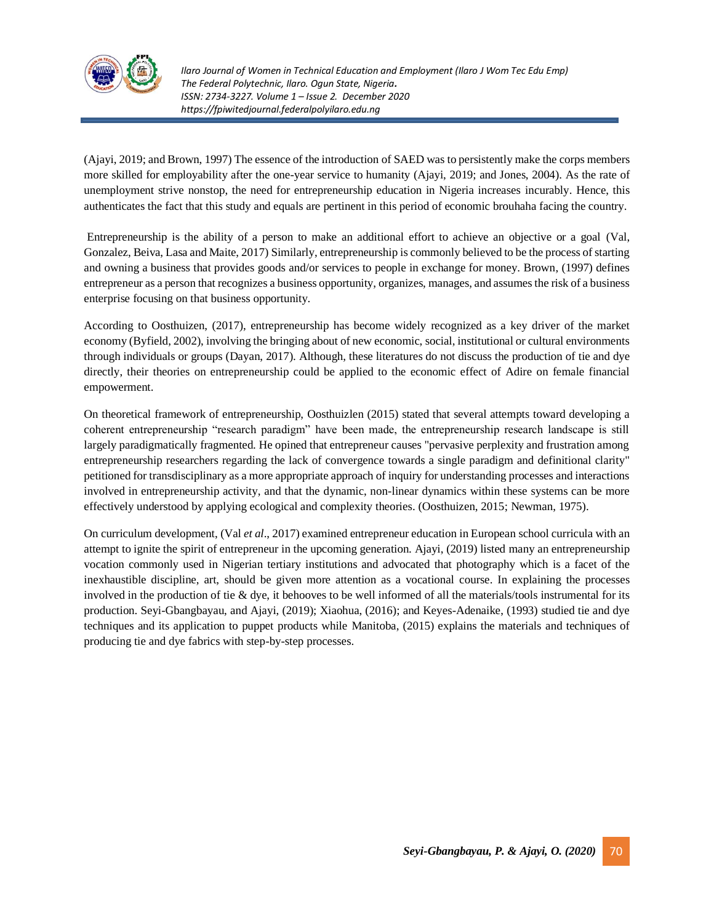

(Ajayi, 2019; and Brown, 1997) The essence of the introduction of SAED was to persistently make the corps members more skilled for employability after the one-year service to humanity (Ajayi, 2019; and Jones, 2004). As the rate of unemployment strive nonstop, the need for entrepreneurship education in Nigeria increases incurably. Hence, this authenticates the fact that this study and equals are pertinent in this period of economic brouhaha facing the country.

Entrepreneurship is the ability of a person to make an additional effort to achieve an objective or a goal (Val, Gonzalez, Beiva, Lasa and Maite, 2017) Similarly, entrepreneurship is commonly believed to be the process of starting and owning a business that provides goods and/or services to people in exchange for money. Brown, (1997) defines entrepreneur as a person that recognizes a business opportunity, organizes, manages, and assumes the risk of a business enterprise focusing on that business opportunity.

According to Oosthuizen, (2017), entrepreneurship has become widely recognized as a key driver of the market economy (Byfield, 2002), involving the bringing about of new economic, social, institutional or cultural environments through individuals or groups (Dayan, 2017). Although, these literatures do not discuss the production of tie and dye directly, their theories on entrepreneurship could be applied to the economic effect of Adire on female financial empowerment.

On theoretical framework of entrepreneurship, Oosthuizlen (2015) stated that several attempts toward developing a coherent entrepreneurship "research paradigm" have been made, the entrepreneurship research landscape is still largely paradigmatically fragmented. He opined that entrepreneur causes "pervasive perplexity and frustration among entrepreneurship researchers regarding the lack of convergence towards a single paradigm and definitional clarity" petitioned for transdisciplinary as a more appropriate approach of inquiry for understanding processes and interactions involved in entrepreneurship activity, and that the dynamic, non-linear dynamics within these systems can be more effectively understood by applying ecological and complexity theories. (Oosthuizen, 2015; Newman, 1975).

On curriculum development, (Val *et al*., 2017) examined entrepreneur education in European school curricula with an attempt to ignite the spirit of entrepreneur in the upcoming generation. Ajayi, (2019) listed many an entrepreneurship vocation commonly used in Nigerian tertiary institutions and advocated that photography which is a facet of the inexhaustible discipline, art, should be given more attention as a vocational course. In explaining the processes involved in the production of tie & dye, it behooves to be well informed of all the materials/tools instrumental for its production. Seyi-Gbangbayau, and Ajayi, (2019); Xiaohua, (2016); and Keyes-Adenaike, (1993) studied tie and dye techniques and its application to puppet products while Manitoba, (2015) explains the materials and techniques of producing tie and dye fabrics with step-by-step processes.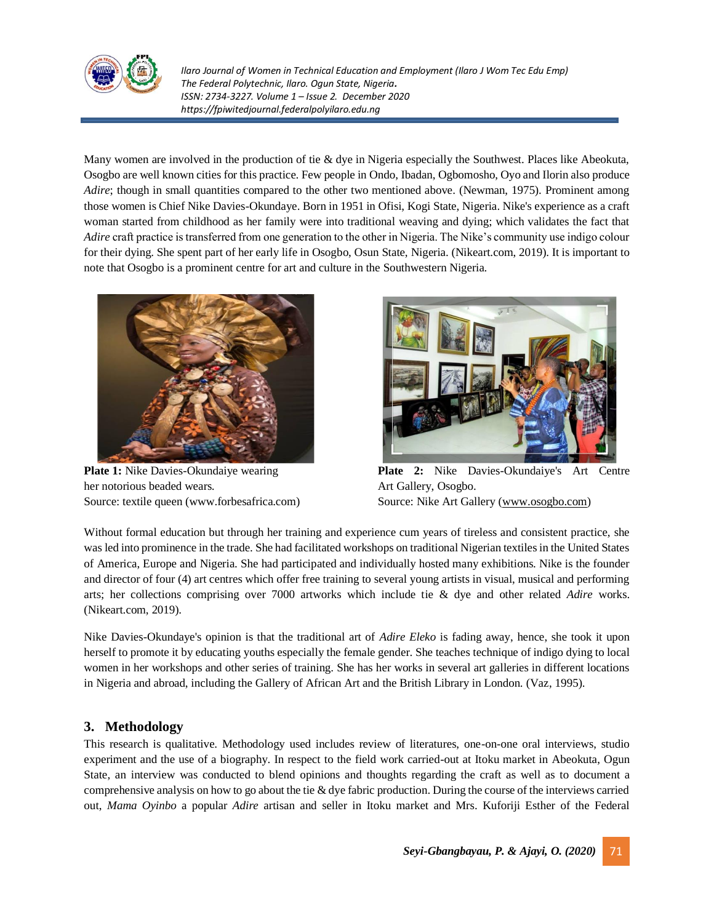

Many women are involved in the production of tie & dye in Nigeria especially the Southwest. Places like Abeokuta, Osogbo are well known cities for this practice. Few people in Ondo, Ibadan, Ogbomosho, Oyo and Ilorin also produce *Adire*; though in small quantities compared to the other two mentioned above. (Newman, 1975). Prominent among those women is Chief Nike Davies-Okundaye. Born in 1951 in Ofisi, Kogi State, Nigeria. Nike's experience as a craft woman started from childhood as her family were into traditional weaving and dying; which validates the fact that *Adire* craft practice is transferred from one generation to the other in Nigeria. The Nike's community use indigo colour for their dying. She spent part of her early life in Osogbo, Osun State, Nigeria. (Nikeart.com, 2019). It is important to note that Osogbo is a prominent centre for art and culture in the Southwestern Nigeria.



her notorious beaded wears. Art Gallery, Osogbo. Source: textile queen (www.forbesafrica.com) Source: Nike Art Gallery [\(www.osogbo.com\)](http://www.osogbo.com/)



**Plate 1:** Nike Davies-Okundaiye wearing **Plate 2:** Nike Davies-Okundaiye's Art Centre

Without formal education but through her training and experience cum years of tireless and consistent practice, she was led into prominence in the trade. She had facilitated workshops on traditional Nigerian textiles in the United States of America, Europe and Nigeria. She had participated and individually hosted many exhibitions. Nike is the founder and director of four (4) art centres which offer free training to several young artists in visual, musical and performing arts; her collections comprising over 7000 artworks which include tie & dye and other related *Adire* works. (Nikeart.com, 2019).

Nike Davies-Okundaye's opinion is that the traditional art of *Adire Eleko* is fading away, hence, she took it upon herself to promote it by educating youths especially the female gender. She teaches technique of indigo dying to local women in her workshops and other series of training. She has her works in several art galleries in different locations in Nigeria and abroad, including the Gallery of African Art and the British Library in London. (Vaz, 1995).

## **3. Methodology**

This research is qualitative. Methodology used includes review of literatures, one-on-one oral interviews, studio experiment and the use of a biography. In respect to the field work carried-out at Itoku market in Abeokuta, Ogun State, an interview was conducted to blend opinions and thoughts regarding the craft as well as to document a comprehensive analysis on how to go about the tie & dye fabric production. During the course of the interviews carried out, *Mama Oyinbo* a popular *Adire* artisan and seller in Itoku market and Mrs. Kuforiji Esther of the Federal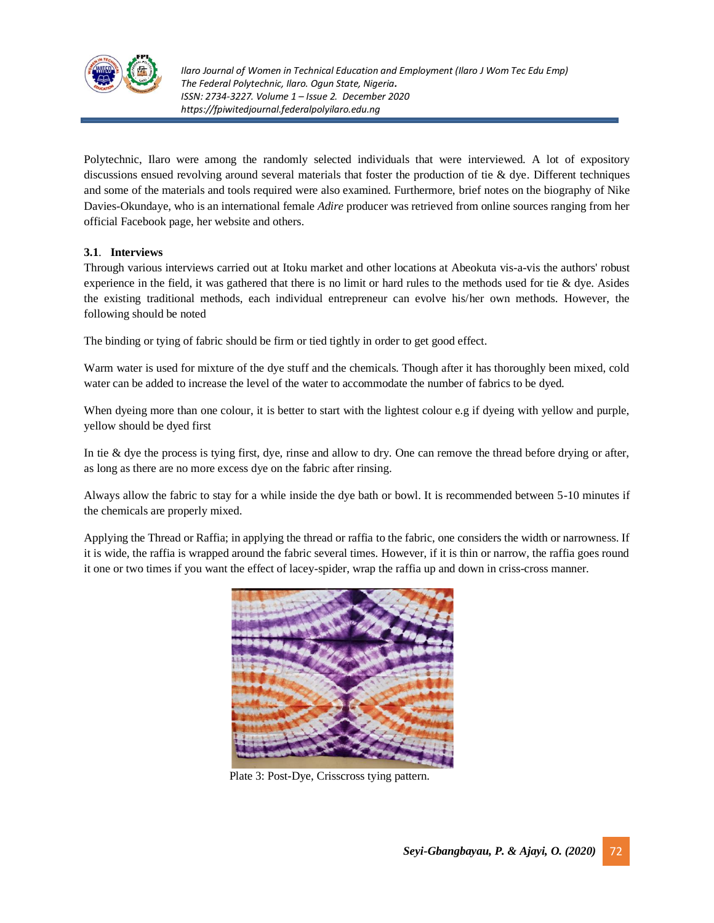

Polytechnic, Ilaro were among the randomly selected individuals that were interviewed. A lot of expository discussions ensued revolving around several materials that foster the production of tie & dye. Different techniques and some of the materials and tools required were also examined. Furthermore, brief notes on the biography of Nike Davies-Okundaye, who is an international female *Adire* producer was retrieved from online sources ranging from her official Facebook page, her website and others.

### **3.1**. **Interviews**

Through various interviews carried out at Itoku market and other locations at Abeokuta vis-a-vis the authors' robust experience in the field, it was gathered that there is no limit or hard rules to the methods used for tie  $\&$  dye. Asides the existing traditional methods, each individual entrepreneur can evolve his/her own methods. However, the following should be noted

The binding or tying of fabric should be firm or tied tightly in order to get good effect.

Warm water is used for mixture of the dye stuff and the chemicals. Though after it has thoroughly been mixed, cold water can be added to increase the level of the water to accommodate the number of fabrics to be dyed.

When dyeing more than one colour, it is better to start with the lightest colour e.g if dyeing with yellow and purple, yellow should be dyed first

In tie & dye the process is tying first, dye, rinse and allow to dry. One can remove the thread before drying or after, as long as there are no more excess dye on the fabric after rinsing.

Always allow the fabric to stay for a while inside the dye bath or bowl. It is recommended between 5-10 minutes if the chemicals are properly mixed.

Applying the Thread or Raffia; in applying the thread or raffia to the fabric, one considers the width or narrowness. If it is wide, the raffia is wrapped around the fabric several times. However, if it is thin or narrow, the raffia goes round it one or two times if you want the effect of lacey-spider, wrap the raffia up and down in criss-cross manner.



Plate 3: Post-Dye, Crisscross tying pattern.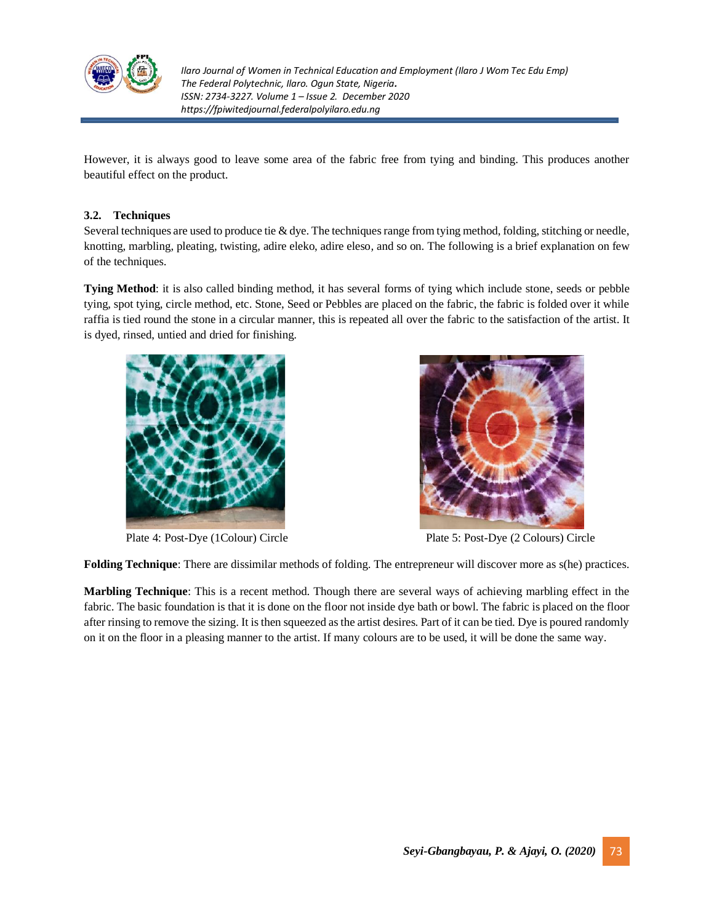

However, it is always good to leave some area of the fabric free from tying and binding. This produces another beautiful effect on the product.

## **3.2. Techniques**

Several techniques are used to produce tie & dye. The techniques range from tying method, folding, stitching or needle, knotting, marbling, pleating, twisting, adire eleko, adire eleso*,* and so on. The following is a brief explanation on few of the techniques.

**Tying Method**: it is also called binding method, it has several forms of tying which include stone, seeds or pebble tying, spot tying, circle method, etc. Stone, Seed or Pebbles are placed on the fabric, the fabric is folded over it while raffia is tied round the stone in a circular manner, this is repeated all over the fabric to the satisfaction of the artist. It is dyed, rinsed, untied and dried for finishing.





Plate 4: Post-Dye (1Colour) Circle Plate 5: Post-Dye (2 Colours) Circle

**Folding Technique**: There are dissimilar methods of folding. The entrepreneur will discover more as s(he) practices.

**Marbling Technique**: This is a recent method. Though there are several ways of achieving marbling effect in the fabric. The basic foundation is that it is done on the floor not inside dye bath or bowl. The fabric is placed on the floor after rinsing to remove the sizing. It is then squeezed as the artist desires. Part of it can be tied. Dye is poured randomly on it on the floor in a pleasing manner to the artist. If many colours are to be used, it will be done the same way.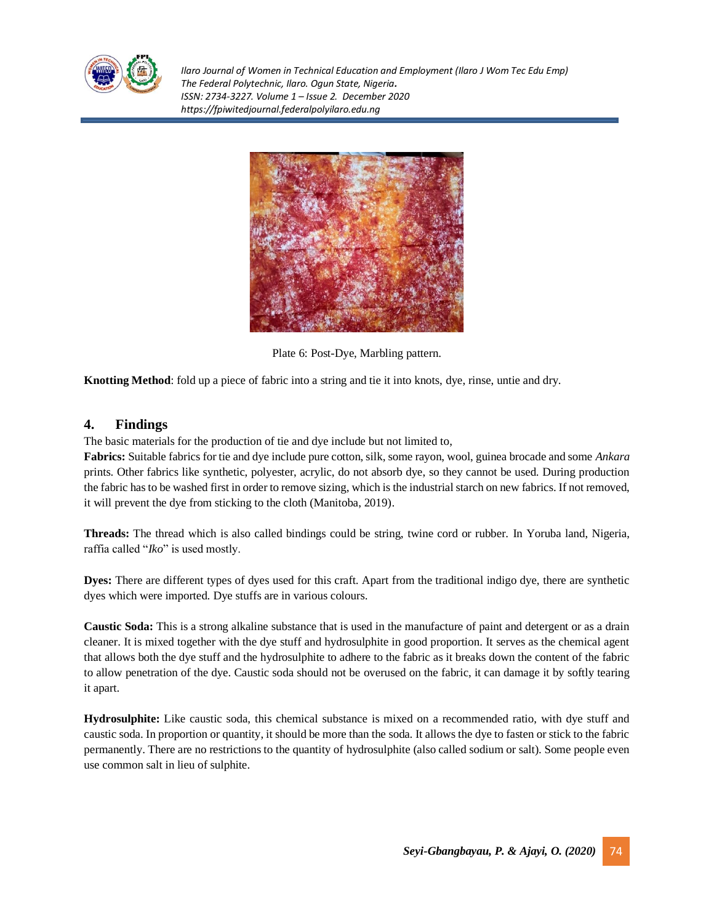



Plate 6: Post-Dye, Marbling pattern.

**Knotting Method**: fold up a piece of fabric into a string and tie it into knots, dye, rinse, untie and dry.

## **4. Findings**

The basic materials for the production of tie and dye include but not limited to,

**Fabrics:** Suitable fabrics for tie and dye include pure cotton, silk, some rayon, wool, guinea brocade and some *Ankara* prints. Other fabrics like synthetic, polyester, acrylic, do not absorb dye, so they cannot be used. During production the fabric has to be washed first in order to remove sizing, which is the industrial starch on new fabrics. If not removed, it will prevent the dye from sticking to the cloth (Manitoba, 2019).

**Threads:** The thread which is also called bindings could be string, twine cord or rubber. In Yoruba land, Nigeria, raffia called "*Iko*" is used mostly.

**Dyes:** There are different types of dyes used for this craft. Apart from the traditional indigo dye, there are synthetic dyes which were imported. Dye stuffs are in various colours.

**Caustic Soda:** This is a strong alkaline substance that is used in the manufacture of paint and detergent or as a drain cleaner. It is mixed together with the dye stuff and hydrosulphite in good proportion. It serves as the chemical agent that allows both the dye stuff and the hydrosulphite to adhere to the fabric as it breaks down the content of the fabric to allow penetration of the dye. Caustic soda should not be overused on the fabric, it can damage it by softly tearing it apart.

**Hydrosulphite:** Like caustic soda, this chemical substance is mixed on a recommended ratio, with dye stuff and caustic soda. In proportion or quantity, it should be more than the soda. It allows the dye to fasten or stick to the fabric permanently. There are no restrictions to the quantity of hydrosulphite (also called sodium or salt). Some people even use common salt in lieu of sulphite.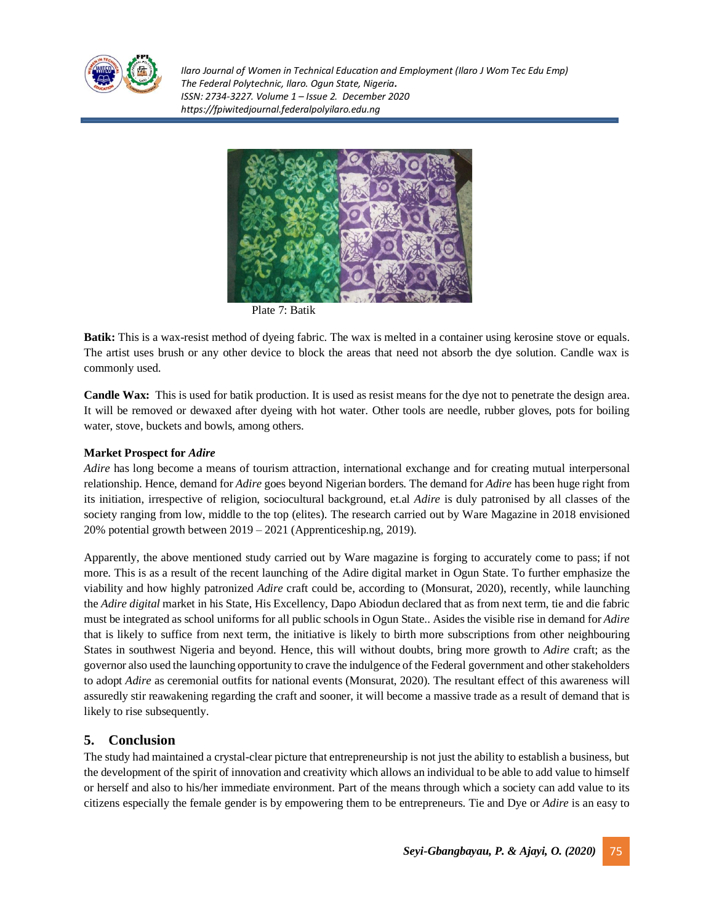



Plate 7: Batik

**Batik:** This is a wax-resist method of dyeing fabric. The wax is melted in a container using kerosine stove or equals. The artist uses brush or any other device to block the areas that need not absorb the dye solution. Candle wax is commonly used.

**Candle Wax:** This is used for batik production. It is used as resist means for the dye not to penetrate the design area. It will be removed or dewaxed after dyeing with hot water. Other tools are needle, rubber gloves, pots for boiling water, stove, buckets and bowls, among others.

### **Market Prospect for** *Adire*

*Adire* has long become a means of tourism attraction, international exchange and for creating mutual interpersonal relationship. Hence, demand for *Adire* goes beyond Nigerian borders. The demand for *Adire* has been huge right from its initiation, irrespective of religion, sociocultural background, et.al *Adire* is duly patronised by all classes of the society ranging from low, middle to the top (elites). The research carried out by Ware Magazine in 2018 envisioned 20% potential growth between 2019 – 2021 (Apprenticeship.ng, 2019).

Apparently, the above mentioned study carried out by Ware magazine is forging to accurately come to pass; if not more. This is as a result of the recent launching of the Adire digital market in Ogun State. To further emphasize the viability and how highly patronized *Adire* craft could be, according to (Monsurat, 2020), recently, while launching the *Adire digital* market in his State, His Excellency, Dapo Abiodun declared that as from next term, tie and die fabric must be integrated as school uniforms for all public schools in Ogun State.. Asides the visible rise in demand for *Adire* that is likely to suffice from next term, the initiative is likely to birth more subscriptions from other neighbouring States in southwest Nigeria and beyond. Hence, this will without doubts, bring more growth to *Adire* craft; as the governor also used the launching opportunity to crave the indulgence of the Federal government and other stakeholders to adopt *Adire* as ceremonial outfits for national events (Monsurat, 2020). The resultant effect of this awareness will assuredly stir reawakening regarding the craft and sooner, it will become a massive trade as a result of demand that is likely to rise subsequently.

## **5. Conclusion**

The study had maintained a crystal-clear picture that entrepreneurship is not just the ability to establish a business, but the development of the spirit of innovation and creativity which allows an individual to be able to add value to himself or herself and also to his/her immediate environment. Part of the means through which a society can add value to its citizens especially the female gender is by empowering them to be entrepreneurs. Tie and Dye or *Adire* is an easy to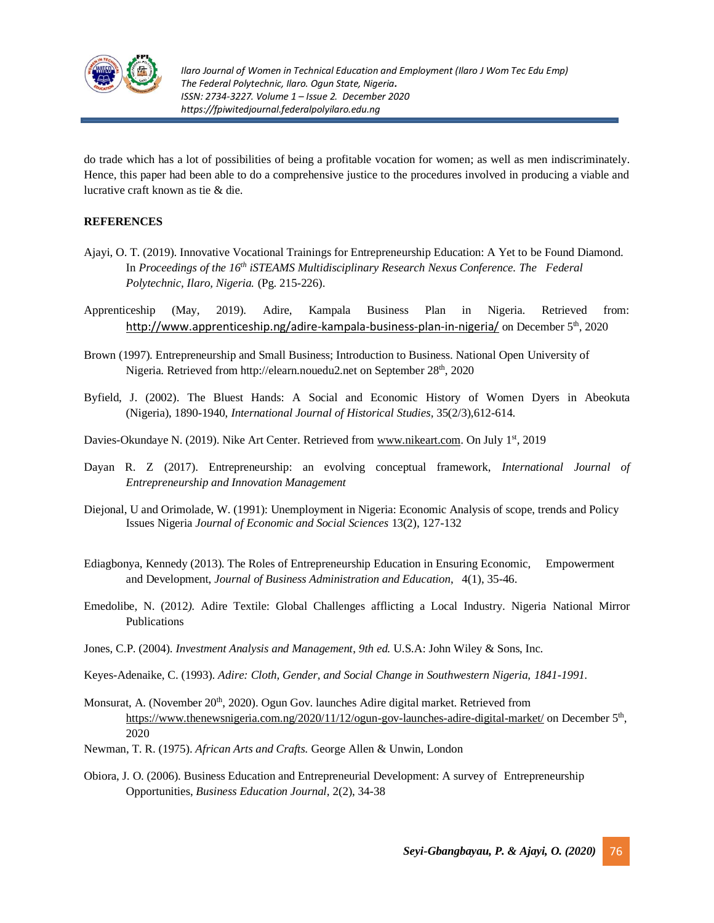

do trade which has a lot of possibilities of being a profitable vocation for women; as well as men indiscriminately. Hence, this paper had been able to do a comprehensive justice to the procedures involved in producing a viable and lucrative craft known as tie & die.

### **REFERENCES**

- Ajayi, O. T. (2019). Innovative Vocational Trainings for Entrepreneurship Education: A Yet to be Found Diamond. In *Proceedings of the 16th iSTEAMS Multidisciplinary Research Nexus Conference. The Federal Polytechnic, Ilaro, Nigeria.* (Pg. 215-226).
- Apprenticeship (May, 2019). Adire, Kampala Business Plan in Nigeria. Retrieved from: [http://www.apprenticeship.ng/adire-kampala-business-plan-in-nigeria/](file:///C:/Users/CICT/AppData/Local/Temp/%09http:/www.apprenticeship.ng/adire-kampala-business-plan-in-nigeria/) on December 5<sup>th</sup>, 2020
- Brown (1997). Entrepreneurship and Small Business; Introduction to Business. National Open University of Nigeria. Retrieved from http://elearn.nouedu2.net on September 28<sup>th</sup>, 2020
- Byfield, J. (2002). The Bluest Hands: A Social and Economic History of Women Dyers in Abeokuta (Nigeria), 1890-1940, *International Journal of Historical Studies,* 35(2/3),612-614.
- Davies-Okundaye N. (2019). Nike Art Center. Retrieved from [www.nikeart.com.](http://www.nikeart.com/) On July 1<sup>st</sup>, 2019
- Dayan R. Z (2017). Entrepreneurship: an evolving conceptual framework, *International Journal of Entrepreneurship and Innovation Management*
- Diejonal, U and Orimolade, W. (1991): Unemployment in Nigeria: Economic Analysis of scope, trends and Policy Issues Nigeria *Journal of Economic and Social Sciences* 13(2), 127-132
- Ediagbonya, Kennedy (2013). The Roles of Entrepreneurship Education in Ensuring Economic, Empowerment and Development, *Journal of Business Administration and Education*, 4(1), 35-46.
- Emedolibe, N. (2012*).* Adire Textile: Global Challenges afflicting a Local Industry. Nigeria National Mirror Publications
- Jones, C.P. (2004). *Investment Analysis and Management*, *9th ed.* U.S.A: John Wiley & Sons, Inc*.*
- Keyes-Adenaike, C. (1993)*. Adire: Cloth, Gender, and Social Change in Southwestern Nigeria, 1841-1991.*
- Monsurat, A. (November 20<sup>th</sup>, 2020). Ogun Gov. launches Adire digital market. Retrieved from <https://www.thenewsnigeria.com.ng/2020/11/12/ogun-gov-launches-adire-digital-market/> on December 5<sup>th</sup>, 2020
- Newman, T. R. (1975). *African Arts and Crafts.* George Allen & Unwin, London
- Obiora, J. O. (2006). Business Education and Entrepreneurial Development: A survey of Entrepreneurship Opportunities, *Business Education Journal,* 2(2), 34-38